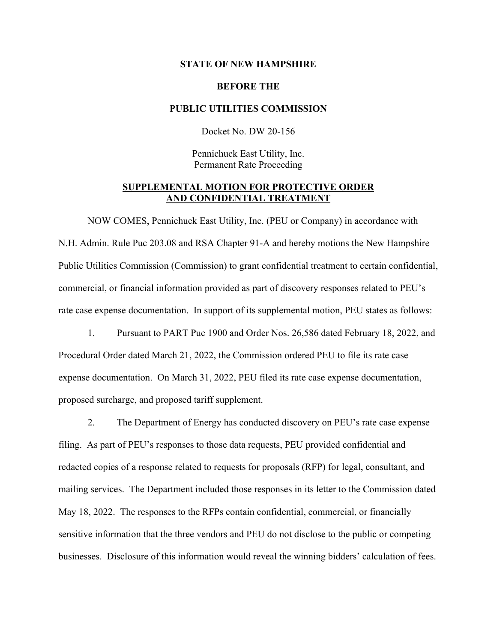### **STATE OF NEW HAMPSHIRE**

### **BEFORE THE**

### **PUBLIC UTILITIES COMMISSION**

Docket No. DW 20-156

Pennichuck East Utility, Inc. Permanent Rate Proceeding

# **SUPPLEMENTAL MOTION FOR PROTECTIVE ORDER AND CONFIDENTIAL TREATMENT**

NOW COMES, Pennichuck East Utility, Inc. (PEU or Company) in accordance with N.H. Admin. Rule Puc 203.08 and RSA Chapter 91-A and hereby motions the New Hampshire Public Utilities Commission (Commission) to grant confidential treatment to certain confidential, commercial, or financial information provided as part of discovery responses related to PEU's rate case expense documentation. In support of its supplemental motion, PEU states as follows:

1. Pursuant to PART Puc 1900 and Order Nos. 26,586 dated February 18, 2022, and Procedural Order dated March 21, 2022, the Commission ordered PEU to file its rate case expense documentation. On March 31, 2022, PEU filed its rate case expense documentation, proposed surcharge, and proposed tariff supplement.

2. The Department of Energy has conducted discovery on PEU's rate case expense filing. As part of PEU's responses to those data requests, PEU provided confidential and redacted copies of a response related to requests for proposals (RFP) for legal, consultant, and mailing services. The Department included those responses in its letter to the Commission dated May 18, 2022. The responses to the RFPs contain confidential, commercial, or financially sensitive information that the three vendors and PEU do not disclose to the public or competing businesses. Disclosure of this information would reveal the winning bidders' calculation of fees.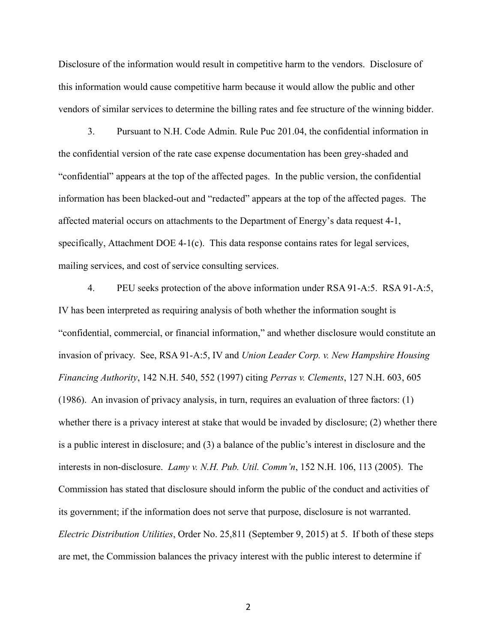Disclosure of the information would result in competitive harm to the vendors. Disclosure of this information would cause competitive harm because it would allow the public and other vendors of similar services to determine the billing rates and fee structure of the winning bidder.

3. Pursuant to N.H. Code Admin. Rule Puc 201.04, the confidential information in the confidential version of the rate case expense documentation has been grey-shaded and "confidential" appears at the top of the affected pages. In the public version, the confidential information has been blacked-out and "redacted" appears at the top of the affected pages. The affected material occurs on attachments to the Department of Energy's data request 4-1, specifically, Attachment DOE 4-1(c). This data response contains rates for legal services, mailing services, and cost of service consulting services.

4. PEU seeks protection of the above information under RSA 91-A:5. RSA 91-A:5, IV has been interpreted as requiring analysis of both whether the information sought is "confidential, commercial, or financial information," and whether disclosure would constitute an invasion of privacy. See, RSA 91-A:5, IV and *Union Leader Corp. v. New Hampshire Housing Financing Authority*, 142 N.H. 540, 552 (1997) citing *Perras v. Clements*, 127 N.H. 603, 605 (1986). An invasion of privacy analysis, in turn, requires an evaluation of three factors: (1) whether there is a privacy interest at stake that would be invaded by disclosure; (2) whether there is a public interest in disclosure; and (3) a balance of the public's interest in disclosure and the interests in non-disclosure. *Lamy v. N.H. Pub. Util. Comm'n*, 152 N.H. 106, 113 (2005). The Commission has stated that disclosure should inform the public of the conduct and activities of its government; if the information does not serve that purpose, disclosure is not warranted. *Electric Distribution Utilities*, Order No. 25,811 (September 9, 2015) at 5. If both of these steps are met, the Commission balances the privacy interest with the public interest to determine if

2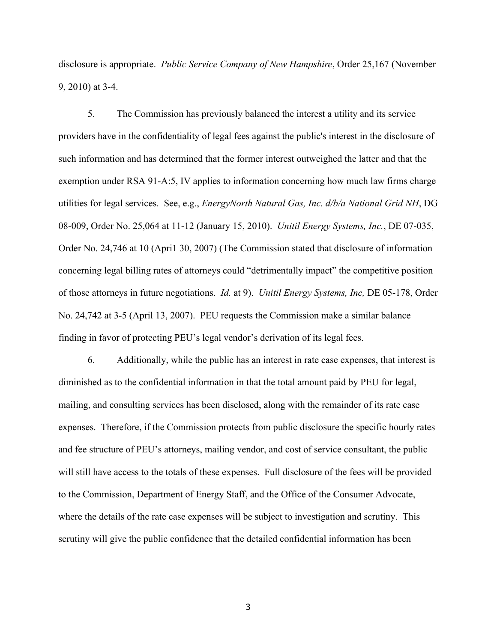disclosure is appropriate. *Public Service Company of New Hampshire*, Order 25,167 (November 9, 2010) at 3-4.

5. The Commission has previously balanced the interest a utility and its service providers have in the confidentiality of legal fees against the public's interest in the disclosure of such information and has determined that the former interest outweighed the latter and that the exemption under RSA 91-A:5, IV applies to information concerning how much law firms charge utilities for legal services. See, e.g., *EnergyNorth Natural Gas, Inc. d/b/a National Grid NH*, DG 08-009, Order No. 25,064 at 11-12 (January 15, 2010). *Unitil Energy Systems, Inc.*, DE 07-035, Order No. 24,746 at 10 (Apri1 30, 2007) (The Commission stated that disclosure of information concerning legal billing rates of attorneys could "detrimentally impact" the competitive position of those attorneys in future negotiations. *Id.* at 9). *Unitil Energy Systems, Inc,* DE 05-178, Order No. 24,742 at 3-5 (April 13, 2007). PEU requests the Commission make a similar balance finding in favor of protecting PEU's legal vendor's derivation of its legal fees.

6. Additionally, while the public has an interest in rate case expenses, that interest is diminished as to the confidential information in that the total amount paid by PEU for legal, mailing, and consulting services has been disclosed, along with the remainder of its rate case expenses. Therefore, if the Commission protects from public disclosure the specific hourly rates and fee structure of PEU's attorneys, mailing vendor, and cost of service consultant, the public will still have access to the totals of these expenses. Full disclosure of the fees will be provided to the Commission, Department of Energy Staff, and the Office of the Consumer Advocate, where the details of the rate case expenses will be subject to investigation and scrutiny. This scrutiny will give the public confidence that the detailed confidential information has been

3